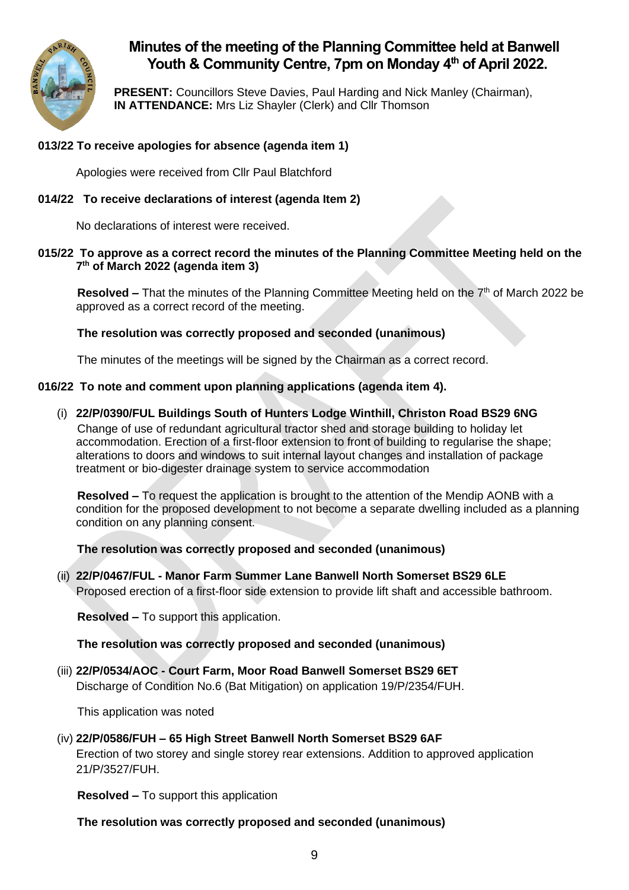

# **Minutes of the meeting of the Planning Committee held at Banwell Youth & Community Centre, 7pm on Monday 4 th of April 2022.**

**PRESENT:** Councillors Steve Davies, Paul Harding and Nick Manley (Chairman), **IN ATTENDANCE:** Mrs Liz Shayler (Clerk) and Cllr Thomson

# **013/22 To receive apologies for absence (agenda item 1)**

Apologies were received from Cllr Paul Blatchford

# **014/22 To receive declarations of interest (agenda Item 2)**

No declarations of interest were received.

# **015/22 To approve as a correct record the minutes of the Planning Committee Meeting held on the 7 th of March 2022 (agenda item 3)**

Resolved – That the minutes of the Planning Committee Meeting held on the 7<sup>th</sup> of March 2022 be approved as a correct record of the meeting.

# **The resolution was correctly proposed and seconded (unanimous)**

The minutes of the meetings will be signed by the Chairman as a correct record.

# **016/22 To note and comment upon planning applications (agenda item 4).**

(i) **22/P/0390/FUL Buildings South of Hunters Lodge Winthill, Christon Road BS29 6NG** Change of use of redundant agricultural tractor shed and storage building to holiday let accommodation. Erection of a first-floor extension to front of building to regularise the shape; alterations to doors and windows to suit internal layout changes and installation of package treatment or bio-digester drainage system to service accommodation

**Resolved –** To request the application is brought to the attention of the Mendip AONB with a condition for the proposed development to not become a separate dwelling included as a planning condition on any planning consent.

**The resolution was correctly proposed and seconded (unanimous)**

(ii) **22/P/0467/FUL - Manor Farm Summer Lane Banwell North Somerset BS29 6LE** Proposed erection of a first-floor side extension to provide lift shaft and accessible bathroom.

**Resolved –** To support this application.

# **The resolution was correctly proposed and seconded (unanimous)**

(iii) **22/P/0534/AOC - Court Farm, Moor Road Banwell Somerset BS29 6ET**

Discharge of Condition No.6 (Bat Mitigation) on application 19/P/2354/FUH.

This application was noted

# (iv) **22/P/0586/FUH – 65 High Street Banwell North Somerset BS29 6AF**

Erection of two storey and single storey rear extensions. Addition to approved application 21/P/3527/FUH.

**Resolved –** To support this application

**The resolution was correctly proposed and seconded (unanimous)**